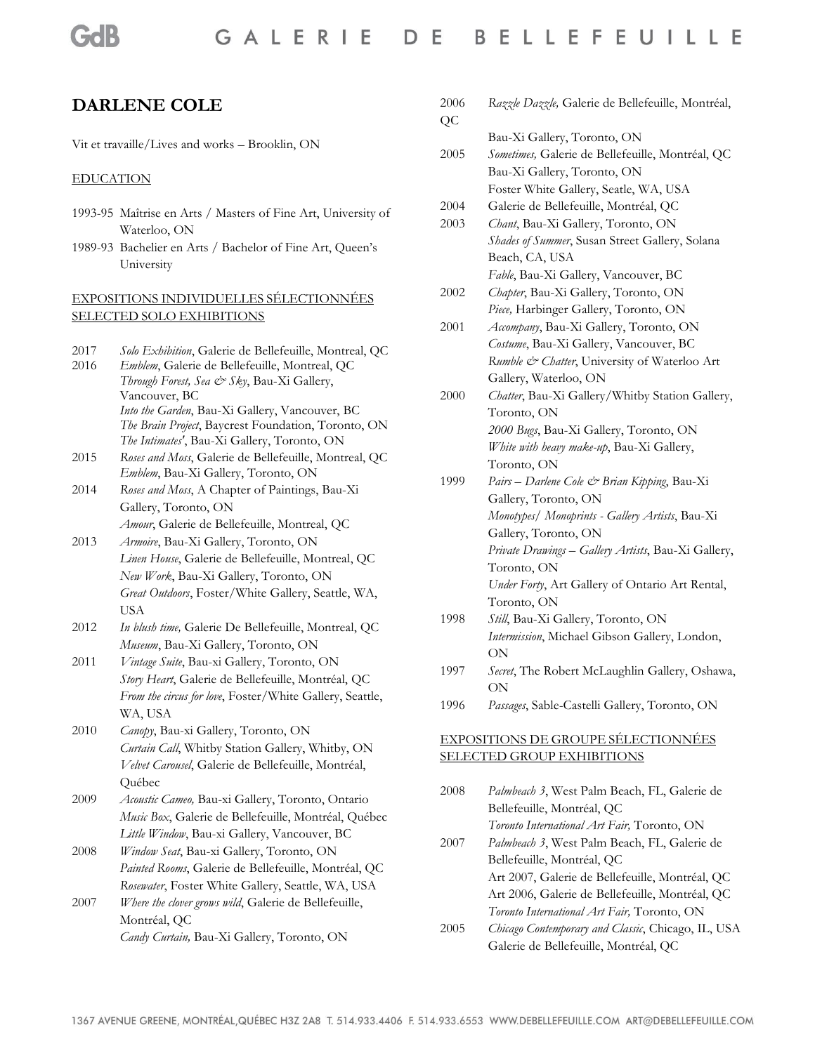# **DARLENE COLE**

Vit et travaille/Lives and works – Brooklin, ON

#### EDUCATION

- 1993-95 Maîtrise en Arts / Masters of Fine Art, University of Waterloo, ON
- 1989-93 Bachelier en Arts / Bachelor of Fine Art, Queen's University

#### EXPOSITIONS INDIVIDUELLES SÉLECTIONNÉES SELECTED SOLO EXHIBITIONS

- 2017 *Solo Exhibition*, Galerie de Bellefeuille, Montreal, QC
- 2016 *Emblem*, Galerie de Bellefeuille, Montreal, QC *Through Forest, Sea & Sky*, Bau-Xi Gallery, Vancouver, BC *Into the Garden*, Bau-Xi Gallery, Vancouver, BC *The Brain Project*, Baycrest Foundation, Toronto, ON *The Intimates'*, Bau-Xi Gallery, Toronto, ON
- 2015 *Roses and Moss*, Galerie de Bellefeuille, Montreal, QC *Emblem*, Bau-Xi Gallery, Toronto, ON
- 2014 *Roses and Moss*, A Chapter of Paintings, Bau-Xi Gallery, Toronto, ON *Amour*, Galerie de Bellefeuille, Montreal, QC
- 2013 *Armoire*, Bau-Xi Gallery, Toronto, ON *Linen House*, Galerie de Bellefeuille, Montreal, QC *New Work*, Bau-Xi Gallery, Toronto, ON
	- *Great Outdoors*, Foster/White Gallery, Seattle, WA, USA
- 2012 *In blush time,* Galerie De Bellefeuille, Montreal, QC *Museum*, Bau-Xi Gallery, Toronto, ON
- 2011 *Vintage Suite*, Bau-xi Gallery, Toronto, ON *Story Heart*, Galerie de Bellefeuille, Montréal, QC *From the circus for love*, Foster/White Gallery, Seattle, WA, USA
- 2010 *Canopy*, Bau-xi Gallery, Toronto, ON *Curtain Call*, Whitby Station Gallery, Whitby, ON *Velvet Carousel*, Galerie de Bellefeuille, Montréal, Québec
- 2009 *Acoustic Cameo,* Bau-xi Gallery, Toronto, Ontario *Music Box*, Galerie de Bellefeuille, Montréal, Québec *Little Window*, Bau-xi Gallery, Vancouver, BC
- 2008 *Window Seat*, Bau-xi Gallery, Toronto, ON *Painted Rooms*, Galerie de Bellefeuille, Montréal, QC *Rosewater*, Foster White Gallery, Seattle, WA, USA
- 2007 *Where the clover grows wild*, Galerie de Bellefeuille, Montréal, QC *Candy Curtain,* Bau-Xi Gallery, Toronto, ON

| 2006<br>QC | Razzle Dazzle, Galerie de Bellefeuille, Montréal,   |
|------------|-----------------------------------------------------|
|            | Bau-Xi Gallery, Toronto, ON                         |
| 2005       | Sometimes, Galerie de Bellefeuille, Montréal, QC    |
|            | Bau-Xi Gallery, Toronto, ON                         |
|            | Foster White Gallery, Seatle, WA, USA               |
| 2004       | Galerie de Bellefeuille, Montréal, QC               |
| 2003       | Chant, Bau-Xi Gallery, Toronto, ON                  |
|            | Shades of Summer, Susan Street Gallery, Solana      |
|            | Beach, CA, USA                                      |
|            | Fable, Bau-Xi Gallery, Vancouver, BC                |
| 2002       | Chapter, Bau-Xi Gallery, Toronto, ON                |
|            | Piece, Harbinger Gallery, Toronto, ON               |
| 2001       | Accompany, Bau-Xi Gallery, Toronto, ON              |
|            | Costume, Bau-Xi Gallery, Vancouver, BC              |
|            | Rumble & Chatter, University of Waterloo Art        |
|            | Gallery, Waterloo, ON                               |
| 2000       | Chatter, Bau-Xi Gallery/Whitby Station Gallery,     |
|            | Toronto, ON                                         |
|            | 2000 Bugs, Bau-Xi Gallery, Toronto, ON              |
|            | White with heavy make-up, Bau-Xi Gallery,           |
|            | Toronto, ON                                         |
| 1999       | Pairs - Darlene Cole & Brian Kipping, Bau-Xi        |
|            | Gallery, Toronto, ON                                |
|            | Monotypes/ Monoprints - Gallery Artists, Bau-Xi     |
|            | Gallery, Toronto, ON                                |
|            | Private Drawings - Gallery Artists, Bau-Xi Gallery, |
|            | Toronto, ON                                         |
|            | Under Forty, Art Gallery of Ontario Art Rental,     |
|            | Toronto, ON                                         |
| 1998       | Still, Bau-Xi Gallery, Toronto, ON                  |
|            | Intermission, Michael Gibson Gallery, London,       |
|            | ON                                                  |
| 1997       | Secret, The Robert McLaughlin Gallery, Oshawa,      |
|            | ON                                                  |
| 1996       | Passages, Sable-Castelli Gallery, Toronto, ON       |
|            |                                                     |

# EXPOSITIONS DE GROUPE SÉLECTIONNÉES SELECTED GROUP EXHIBITIONS

- 2008 *Palmbeach 3*, West Palm Beach, FL, Galerie de Bellefeuille, Montréal, QC *Toronto International Art Fair,* Toronto, ON
- 2007 *Palmbeach 3*, West Palm Beach, FL, Galerie de Bellefeuille, Montréal, QC Art 2007, Galerie de Bellefeuille, Montréal, QC Art 2006, Galerie de Bellefeuille, Montréal, QC *Toronto International Art Fair,* Toronto, ON
- 2005 *Chicago Contemporary and Classic*, Chicago, IL, USA Galerie de Bellefeuille, Montréal, QC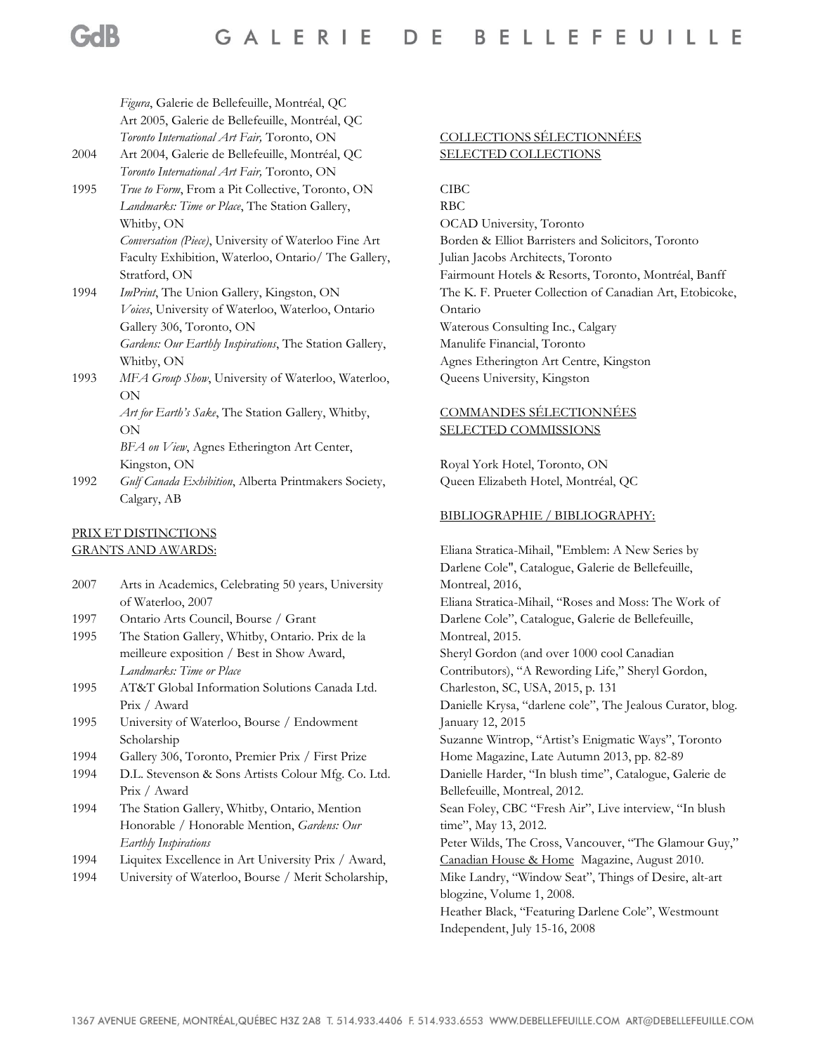*Figura*, Galerie de Bellefeuille, Montréal, QC Art 2005, Galerie de Bellefeuille, Montréal, QC *Toronto International Art Fair,* Toronto, ON

2004 Art 2004, Galerie de Bellefeuille, Montréal, QC *Toronto International Art Fair,* Toronto, ON

1995 *True to Form*, From a Pit Collective, Toronto, ON *Landmarks: Time or Place*, The Station Gallery, Whitby, ON *Conversation (Piece)*, University of Waterloo Fine Art Faculty Exhibition, Waterloo, Ontario/ The Gallery,

Stratford, ON 1994 *ImPrint*, The Union Gallery, Kingston, ON *Voices*, University of Waterloo, Waterloo, Ontario Gallery 306, Toronto, ON *Gardens: Our Earthly Inspirations*, The Station Gallery, Whitby, ON

1993 *MFA Group Show*, University of Waterloo, Waterloo, ON

*Art for Earth's Sake*, The Station Gallery, Whitby, ON *BFA on View*, Agnes Etherington Art Center,

Kingston, ON

1992 *Gulf Canada Exhibition*, Alberta Printmakers Society, Calgary, AB

#### PRIX ET DISTINCTIONS GRANTS AND AWARDS:

2007 Arts in Academics, Celebrating 50 years, University of Waterloo, 2007

- 1997 Ontario Arts Council, Bourse / Grant
- 1995 The Station Gallery, Whitby, Ontario. Prix de la meilleure exposition / Best in Show Award, *Landmarks: Time or Place*
- 1995 AT&T Global Information Solutions Canada Ltd. Prix / Award
- 1995 University of Waterloo, Bourse / Endowment Scholarship
- 1994 Gallery 306, Toronto, Premier Prix / First Prize
- 1994 D.L. Stevenson & Sons Artists Colour Mfg. Co. Ltd. Prix / Award
- 1994 The Station Gallery, Whitby, Ontario, Mention Honorable / Honorable Mention, *Gardens: Our Earthly Inspirations*
- 1994 Liquitex Excellence in Art University Prix / Award,
- 1994 University of Waterloo, Bourse / Merit Scholarship,

### COLLECTIONS SÉLECTIONNÉES SELECTED COLLECTIONS

CIBC

RBC OCAD University, Toronto Borden & Elliot Barristers and Solicitors, Toronto Julian Jacobs Architects, Toronto Fairmount Hotels & Resorts, Toronto, Montréal, Banff The K. F. Prueter Collection of Canadian Art, Etobicoke, Ontario Waterous Consulting Inc., Calgary Manulife Financial, Toronto Agnes Etherington Art Centre, Kingston Queens University, Kingston

## COMMANDES SÉLECTIONNÉES SELECTED COMMISSIONS

Royal York Hotel, Toronto, ON Queen Elizabeth Hotel, Montréal, QC

#### BIBLIOGRAPHIE / BIBLIOGRAPHY:

Eliana Stratica-Mihail, "Emblem: A New Series by Darlene Cole", Catalogue, Galerie de Bellefeuille, Montreal, 2016, Eliana Stratica-Mihail, "Roses and Moss: The Work of Darlene Cole", Catalogue, Galerie de Bellefeuille, Montreal, 2015. Sheryl Gordon (and over 1000 cool Canadian Contributors), "A Rewording Life," Sheryl Gordon, Charleston, SC, USA, 2015, p. 131 Danielle Krysa, "darlene cole", The Jealous Curator, blog. January 12, 2015 Suzanne Wintrop, "Artist's Enigmatic Ways", Toronto Home Magazine, Late Autumn 2013, pp. 82-89 Danielle Harder, "In blush time", Catalogue, Galerie de Bellefeuille, Montreal, 2012. Sean Foley, CBC "Fresh Air", Live interview, "In blush time", May 13, 2012. Peter Wilds, The Cross, Vancouver, "The Glamour Guy," Canadian House & Home Magazine, August 2010. Mike Landry, "Window Seat", Things of Desire, alt-art blogzine, Volume 1, 2008. Heather Black, "Featuring Darlene Cole", Westmount Independent, July 15-16, 2008